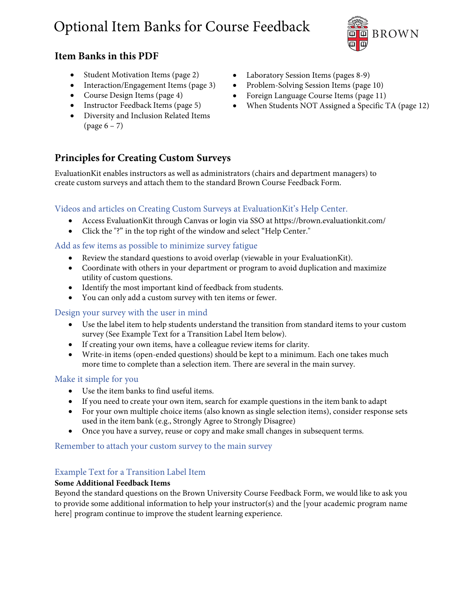# Optional Item Banks for Course Feedback ~



### **Item Banks in this PDF**

- Student Motivation Items (page 2)
- Interaction/Engagement Items (page 3)
- Course Design Items (page 4)
- Instructor Feedback Items (page 5)
- Diversity and Inclusion Related Items  $\text{(page 6 - 7)}$

### **Principles for Creating Custom Surveys**

EvaluationKit enables instructors as well as administrators (chairs and department managers) to create custom surveys and attach them to the standard Brown Course Feedback Form.

### Videos and articles on Creating Custom Surveys at EvaluationKit's Help Center.

- Access EvaluationKit through Canvas or login via SSO at https://brown.evaluationkit.com/
- Click the "?" in the top right of the window and select "Help Center."

### Add as few items as possible to minimize survey fatigue

- Review the standard questions to avoid overlap (viewable in your EvaluationKit).
- Coordinate with others in your department or program to avoid duplication and maximize utility of custom questions.
- Identify the most important kind of feedback from students.
- You can only add a custom survey with ten items or fewer.

### Design your survey with the user in mind

- Use the label item to help students understand the transition from standard items to your custom survey (See Example Text for a Transition Label Item below).
- If creating your own items, have a colleague review items for clarity.
- Write-in items (open-ended questions) should be kept to a minimum. Each one takes much more time to complete than a selection item. There are several in the main survey.

### Make it simple for you

- Use the item banks to find useful items.
- If you need to create your own item, search for example questions in the item bank to adapt
- For your own multiple choice items (also known as single selection items), consider response sets used in the item bank (e.g., Strongly Agree to Strongly Disagree)
- Once you have a survey, reuse or copy and make small changes in subsequent terms.

### Remember to attach your custom survey to the main survey

### Example Text for a Transition Label Item

#### **Some Additional Feedback Items**

Beyond the standard questions on the Brown University Course Feedback Form, we would like to ask you to provide some additional information to help your instructor(s) and the [your academic program name here] program continue to improve the student learning experience.

- Laboratory Session Items (pages 8-9)
- Problem-Solving Session Items (page 10)
- Foreign Language Course Items (page 11)
- When Students NOT Assigned a Specific TA (page 12)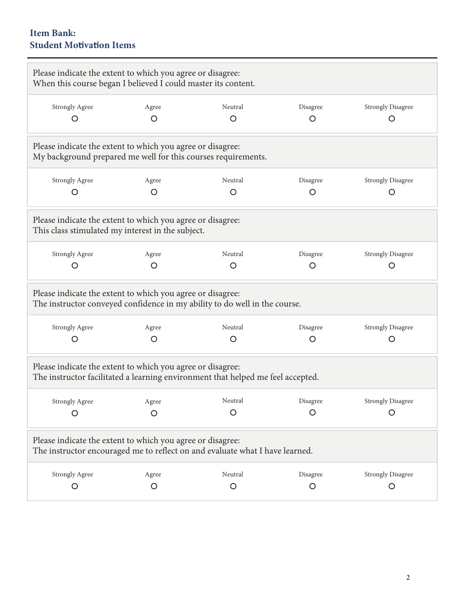### **Item Bank: Student MoƟvaƟon Items**

| Please indicate the extent to which you agree or disagree:<br>When this course began I believed I could master its content.                   |                                                                                                                                            |         |          |                          |  |  |  |  |
|-----------------------------------------------------------------------------------------------------------------------------------------------|--------------------------------------------------------------------------------------------------------------------------------------------|---------|----------|--------------------------|--|--|--|--|
| <b>Strongly Agree</b>                                                                                                                         | Agree                                                                                                                                      | Neutral | Disagree | <b>Strongly Disagree</b> |  |  |  |  |
| O                                                                                                                                             | O                                                                                                                                          | O       | O        | O                        |  |  |  |  |
|                                                                                                                                               | Please indicate the extent to which you agree or disagree:<br>My background prepared me well for this courses requirements.                |         |          |                          |  |  |  |  |
| <b>Strongly Agree</b>                                                                                                                         | Agree                                                                                                                                      | Neutral | Disagree | <b>Strongly Disagree</b> |  |  |  |  |
| O                                                                                                                                             | O                                                                                                                                          | O       | O        | O                        |  |  |  |  |
| Please indicate the extent to which you agree or disagree:<br>This class stimulated my interest in the subject.                               |                                                                                                                                            |         |          |                          |  |  |  |  |
| <b>Strongly Agree</b>                                                                                                                         | Agree                                                                                                                                      | Neutral | Disagree | <b>Strongly Disagree</b> |  |  |  |  |
| O                                                                                                                                             | O                                                                                                                                          | O       | O        | O                        |  |  |  |  |
| Please indicate the extent to which you agree or disagree:<br>The instructor conveyed confidence in my ability to do well in the course.      |                                                                                                                                            |         |          |                          |  |  |  |  |
| <b>Strongly Agree</b>                                                                                                                         | Agree                                                                                                                                      | Neutral | Disagree | <b>Strongly Disagree</b> |  |  |  |  |
| O                                                                                                                                             | O                                                                                                                                          | O       | O        | $\circ$                  |  |  |  |  |
| Please indicate the extent to which you agree or disagree:<br>The instructor facilitated a learning environment that helped me feel accepted. |                                                                                                                                            |         |          |                          |  |  |  |  |
| Strongly Agree                                                                                                                                | Agree                                                                                                                                      | Neutral | Disagree | <b>Strongly Disagree</b> |  |  |  |  |
| $\circ$                                                                                                                                       | O                                                                                                                                          | $\circ$ | O        | $\circ$                  |  |  |  |  |
|                                                                                                                                               | Please indicate the extent to which you agree or disagree:<br>The instructor encouraged me to reflect on and evaluate what I have learned. |         |          |                          |  |  |  |  |
| <b>Strongly Agree</b>                                                                                                                         | Agree                                                                                                                                      | Neutral | Disagree | <b>Strongly Disagree</b> |  |  |  |  |
| $\circ$                                                                                                                                       | O                                                                                                                                          | $\circ$ | O        | $\circ$                  |  |  |  |  |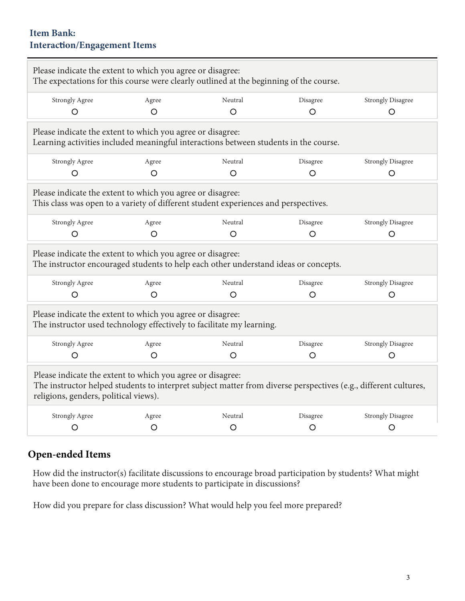### **Item Bank: InteracƟon/Engagement Items**

| Please indicate the extent to which you agree or disagree:<br>The expectations for this course were clearly outlined at the beginning of the course.                                                                   |         |         |          |                          |  |  |  |  |
|------------------------------------------------------------------------------------------------------------------------------------------------------------------------------------------------------------------------|---------|---------|----------|--------------------------|--|--|--|--|
| <b>Strongly Agree</b>                                                                                                                                                                                                  | Agree   | Neutral | Disagree | <b>Strongly Disagree</b> |  |  |  |  |
| $\circ$                                                                                                                                                                                                                | $\circ$ | $\circ$ | $\circ$  | O                        |  |  |  |  |
| Please indicate the extent to which you agree or disagree:<br>Learning activities included meaningful interactions between students in the course.                                                                     |         |         |          |                          |  |  |  |  |
| <b>Strongly Agree</b>                                                                                                                                                                                                  | Agree   | Neutral | Disagree | <b>Strongly Disagree</b> |  |  |  |  |
| $\circ$                                                                                                                                                                                                                | $\circ$ | $\circ$ | $\circ$  | $\circ$                  |  |  |  |  |
| Please indicate the extent to which you agree or disagree:<br>This class was open to a variety of different student experiences and perspectives.                                                                      |         |         |          |                          |  |  |  |  |
| <b>Strongly Agree</b>                                                                                                                                                                                                  | Agree   | Neutral | Disagree | <b>Strongly Disagree</b> |  |  |  |  |
| $\circ$                                                                                                                                                                                                                | $\circ$ | $\circ$ | $\circ$  | O                        |  |  |  |  |
| Please indicate the extent to which you agree or disagree:<br>The instructor encouraged students to help each other understand ideas or concepts.                                                                      |         |         |          |                          |  |  |  |  |
| <b>Strongly Agree</b>                                                                                                                                                                                                  | Agree   | Neutral | Disagree | <b>Strongly Disagree</b> |  |  |  |  |
| $\circ$                                                                                                                                                                                                                | $\circ$ | O       | $\circ$  | $\circ$                  |  |  |  |  |
| Please indicate the extent to which you agree or disagree:<br>The instructor used technology effectively to facilitate my learning.                                                                                    |         |         |          |                          |  |  |  |  |
| <b>Strongly Agree</b>                                                                                                                                                                                                  | Agree   | Neutral | Disagree | <b>Strongly Disagree</b> |  |  |  |  |
| $\circ$                                                                                                                                                                                                                | $\circ$ | O       | $\circ$  | O                        |  |  |  |  |
| Please indicate the extent to which you agree or disagree:<br>The instructor helped students to interpret subject matter from diverse perspectives (e.g., different cultures,<br>religions, genders, political views). |         |         |          |                          |  |  |  |  |
| <b>Strongly Agree</b>                                                                                                                                                                                                  | Agree   | Neutral | Disagree | <b>Strongly Disagree</b> |  |  |  |  |
| O                                                                                                                                                                                                                      | O       | O       | O        | O                        |  |  |  |  |
|                                                                                                                                                                                                                        |         |         |          |                          |  |  |  |  |

## **Open-ended Items**

How did the instructor(s) facilitate discussions to encourage broad participation by students? What might have been done to encourage more students to participate in discussions?

How did you prepare for class discussion? What would help you feel more prepared?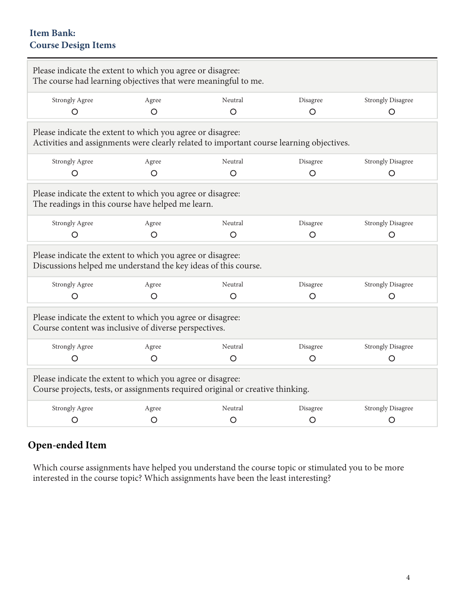## **Item Bank: Course Design Items**

| Please indicate the extent to which you agree or disagree:<br>The course had learning objectives that were meaningful to me.                           |                                                                                                                     |         |          |                          |  |  |  |
|--------------------------------------------------------------------------------------------------------------------------------------------------------|---------------------------------------------------------------------------------------------------------------------|---------|----------|--------------------------|--|--|--|
| <b>Strongly Agree</b>                                                                                                                                  | Agree                                                                                                               | Neutral | Disagree | <b>Strongly Disagree</b> |  |  |  |
| O                                                                                                                                                      | O                                                                                                                   | ∩       | O        | O                        |  |  |  |
| Please indicate the extent to which you agree or disagree:<br>Activities and assignments were clearly related to important course learning objectives. |                                                                                                                     |         |          |                          |  |  |  |
| <b>Strongly Agree</b>                                                                                                                                  | Agree                                                                                                               | Neutral | Disagree | <b>Strongly Disagree</b> |  |  |  |
| O                                                                                                                                                      | O                                                                                                                   | O       | $\circ$  | O                        |  |  |  |
| Please indicate the extent to which you agree or disagree:<br>The readings in this course have helped me learn.                                        |                                                                                                                     |         |          |                          |  |  |  |
| <b>Strongly Agree</b>                                                                                                                                  | Agree                                                                                                               | Neutral | Disagree | <b>Strongly Disagree</b> |  |  |  |
| O                                                                                                                                                      | O                                                                                                                   | $\circ$ | O        | O                        |  |  |  |
| Please indicate the extent to which you agree or disagree:<br>Discussions helped me understand the key ideas of this course.                           |                                                                                                                     |         |          |                          |  |  |  |
| <b>Strongly Agree</b>                                                                                                                                  | Agree                                                                                                               | Neutral | Disagree | <b>Strongly Disagree</b> |  |  |  |
| O                                                                                                                                                      | O                                                                                                                   | $\circ$ | $\circ$  | $\circ$                  |  |  |  |
|                                                                                                                                                        | Please indicate the extent to which you agree or disagree:<br>Course content was inclusive of diverse perspectives. |         |          |                          |  |  |  |
| <b>Strongly Agree</b>                                                                                                                                  | Agree                                                                                                               | Neutral | Disagree | <b>Strongly Disagree</b> |  |  |  |
| $\circ$                                                                                                                                                | $\circ$                                                                                                             | O       | $\circ$  | $\circ$                  |  |  |  |
| Please indicate the extent to which you agree or disagree:<br>Course projects, tests, or assignments required original or creative thinking.           |                                                                                                                     |         |          |                          |  |  |  |
| <b>Strongly Agree</b>                                                                                                                                  | Agree                                                                                                               | Neutral | Disagree | <b>Strongly Disagree</b> |  |  |  |
| O                                                                                                                                                      | O                                                                                                                   | O       | O        | O                        |  |  |  |

## **Open-ended Item**

Which course assignments have helped you understand the course topic or stimulated you to be more interested in the course topic? Which assignments have been the least interesting?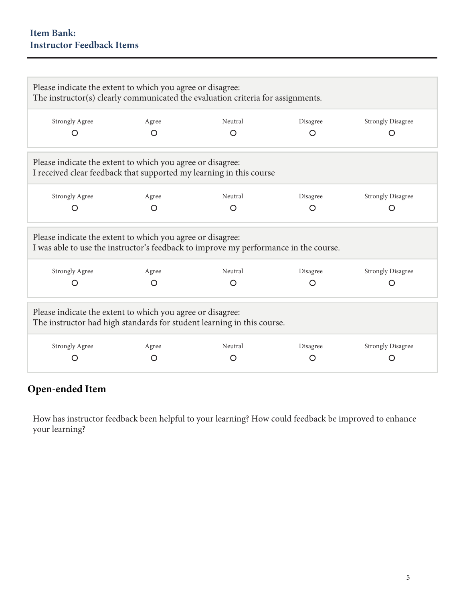| Please indicate the extent to which you agree or disagree:<br>The instructor(s) clearly communicated the evaluation criteria for assignments.      |       |         |          |                          |  |  |  |
|----------------------------------------------------------------------------------------------------------------------------------------------------|-------|---------|----------|--------------------------|--|--|--|
| <b>Strongly Agree</b>                                                                                                                              | Agree | Neutral | Disagree | <b>Strongly Disagree</b> |  |  |  |
|                                                                                                                                                    |       | O       | O        | O                        |  |  |  |
| Please indicate the extent to which you agree or disagree:<br>I received clear feedback that supported my learning in this course                  |       |         |          |                          |  |  |  |
| <b>Strongly Agree</b>                                                                                                                              | Agree | Neutral | Disagree | <b>Strongly Disagree</b> |  |  |  |
| ( )                                                                                                                                                | ∩     | O       |          | ( )                      |  |  |  |
| Please indicate the extent to which you agree or disagree:<br>I was able to use the instructor's feedback to improve my performance in the course. |       |         |          |                          |  |  |  |
| <b>Strongly Agree</b>                                                                                                                              | Agree | Neutral | Disagree | <b>Strongly Disagree</b> |  |  |  |
|                                                                                                                                                    | O     | O       | O        | O                        |  |  |  |
| Please indicate the extent to which you agree or disagree:<br>The instructor had high standards for student learning in this course.               |       |         |          |                          |  |  |  |
| <b>Strongly Agree</b>                                                                                                                              | Agree | Neutral | Disagree | <b>Strongly Disagree</b> |  |  |  |
|                                                                                                                                                    |       | O       |          |                          |  |  |  |

## **Open-ended Item**

How has instructor feedback been helpful to your learning? How could feedback be improved to enhance your learning?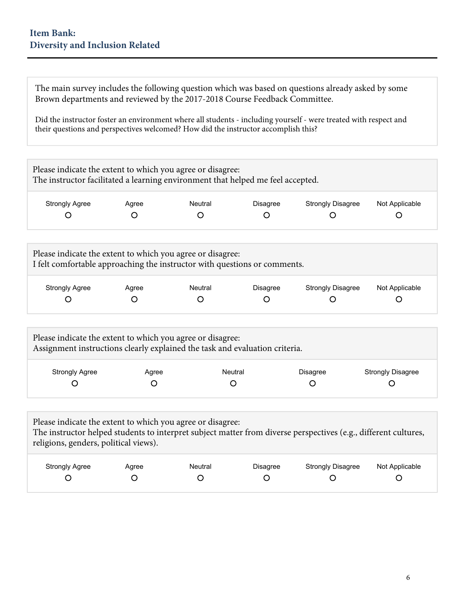### **Item Bank: Diversity and Inclusion Related**

The main survey includes the following question which was based on questions already asked by some Brown departments and reviewed by the 2017-2018 Course Feedback Committee.

Did the instructor foster an environment where all students - including yourself - were treated with respect and their questions and perspectives welcomed? How did the instructor accomplish this?

| Please indicate the extent to which you agree or disagree:<br>The instructor facilitated a learning environment that helped me feel accepted. |       |         |                 |                          |                |  |  |
|-----------------------------------------------------------------------------------------------------------------------------------------------|-------|---------|-----------------|--------------------------|----------------|--|--|
| <b>Strongly Agree</b>                                                                                                                         | Agree | Neutral | <b>Disagree</b> | <b>Strongly Disagree</b> | Not Applicable |  |  |
|                                                                                                                                               |       |         |                 |                          |                |  |  |
|                                                                                                                                               |       |         |                 |                          |                |  |  |

| Please indicate the extent to which you agree or disagree:<br>I felt comfortable approaching the instructor with questions or comments. |       |         |                 |                          |                |  |  |
|-----------------------------------------------------------------------------------------------------------------------------------------|-------|---------|-----------------|--------------------------|----------------|--|--|
| <b>Strongly Agree</b>                                                                                                                   | Agree | Neutral | <b>Disagree</b> | <b>Strongly Disagree</b> | Not Applicable |  |  |

| Please indicate the extent to which you agree or disagree:<br>Assignment instructions clearly explained the task and evaluation criteria. |       |         |                 |                          |  |  |
|-------------------------------------------------------------------------------------------------------------------------------------------|-------|---------|-----------------|--------------------------|--|--|
| <b>Strongly Agree</b>                                                                                                                     | Agree | Neutral | <b>Disagree</b> | <b>Strongly Disagree</b> |  |  |

| Please indicate the extent to which you agree or disagree:<br>The instructor helped students to interpret subject matter from diverse perspectives (e.g., different cultures,<br>religions, genders, political views). |       |         |                 |                          |                |
|------------------------------------------------------------------------------------------------------------------------------------------------------------------------------------------------------------------------|-------|---------|-----------------|--------------------------|----------------|
| <b>Strongly Agree</b>                                                                                                                                                                                                  | Agree | Neutral | <b>Disagree</b> | <b>Strongly Disagree</b> | Not Applicable |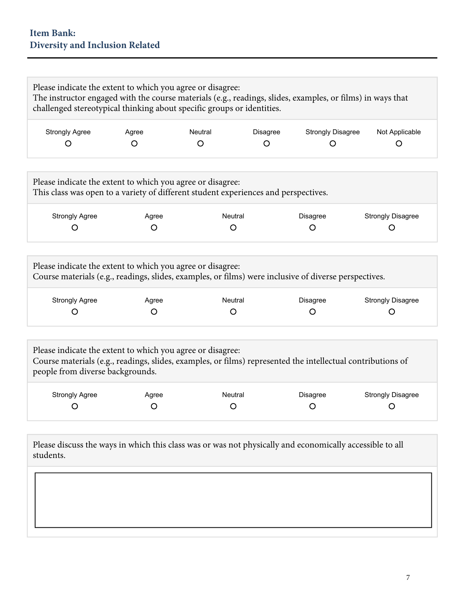## **Item Bank: Diversity and Inclusion Related**

| <b>Strongly Agree</b>                                                                                                                                        | Agree | Neutral                                                                             | <b>Strongly Disagree</b><br>Disagree                                                                              | Not Applicable           |
|--------------------------------------------------------------------------------------------------------------------------------------------------------------|-------|-------------------------------------------------------------------------------------|-------------------------------------------------------------------------------------------------------------------|--------------------------|
| O                                                                                                                                                            | O     | $\Omega$                                                                            | O<br>O                                                                                                            | O                        |
| Please indicate the extent to which you agree or disagree:                                                                                                   |       | This class was open to a variety of different student experiences and perspectives. |                                                                                                                   |                          |
| <b>Strongly Agree</b>                                                                                                                                        | Agree | Neutral                                                                             | Disagree                                                                                                          | <b>Strongly Disagree</b> |
| O                                                                                                                                                            | O     | O                                                                                   | $\circ$                                                                                                           | O                        |
| <b>Strongly Agree</b>                                                                                                                                        | Agree | Neutral                                                                             | Course materials (e.g., readings, slides, examples, or films) were inclusive of diverse perspectives.<br>Disagree | <b>Strongly Disagree</b> |
| O                                                                                                                                                            | O     | $\circ$                                                                             | $\circ$                                                                                                           | $\circ$                  |
| Please indicate the extent to which you agree or disagree:<br>Please indicate the extent to which you agree or disagree:<br>people from diverse backgrounds. |       |                                                                                     | Course materials (e.g., readings, slides, examples, or films) represented the intellectual contributions of       |                          |
| <b>Strongly Agree</b>                                                                                                                                        | Agree | Neutral                                                                             | Disagree                                                                                                          | <b>Strongly Disagree</b> |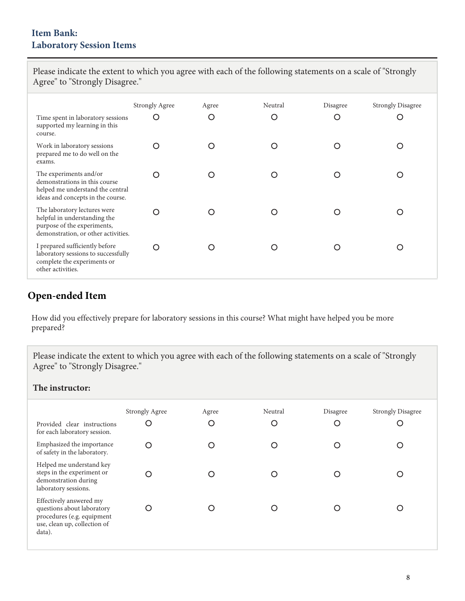| Agree" to "Strongly Disagree."                                                                                                     |                       |       |         |          |                          |  |
|------------------------------------------------------------------------------------------------------------------------------------|-----------------------|-------|---------|----------|--------------------------|--|
|                                                                                                                                    | <b>Strongly Agree</b> | Agree | Neutral | Disagree | <b>Strongly Disagree</b> |  |
| Time spent in laboratory sessions<br>supported my learning in this<br>course.                                                      | O                     | O     | O       | O        | O                        |  |
| Work in laboratory sessions<br>prepared me to do well on the<br>exams.                                                             | ∩                     | ∩     | ∩       | O        | O                        |  |
| The experiments and/or<br>demonstrations in this course<br>helped me understand the central<br>ideas and concepts in the course.   | ∩                     | O     | ∩       | Ω        | O                        |  |
| The laboratory lectures were<br>helpful in understanding the<br>purpose of the experiments,<br>demonstration, or other activities. | ∩                     |       | ◯       | Ω        | Ω                        |  |
| I prepared sufficiently before<br>laboratory sessions to successfully<br>complete the experiments or<br>other activities.          | ∩                     | ∩     | ∩       | O        | O                        |  |

Please indicate the extent to which you agree with each of the following statements on a scale of "Strongly

## **Open-ended Item**

How did you effectively prepare for laboratory sessions in this course? What might have helped you be more prepared?

Please indicate the extent to which you agree with each of the following statements on a scale of "Strongly Agree" to "Strongly Disagree."

### **The instructor:**

| Provided clear instructions<br>for each laboratory session.                                                                   | <b>Strongly Agree</b><br>C | Agree<br>Ω | Neutral<br>C | Disagree<br>O | <b>Strongly Disagree</b><br>C |
|-------------------------------------------------------------------------------------------------------------------------------|----------------------------|------------|--------------|---------------|-------------------------------|
| Emphasized the importance<br>of safety in the laboratory.                                                                     |                            | ( )        |              | ∩             |                               |
| Helped me understand key<br>steps in the experiment or<br>demonstration during<br>laboratory sessions.                        |                            | ∩          |              |               |                               |
| Effectively answered my<br>questions about laboratory<br>procedures (e.g. equipment<br>use, clean up, collection of<br>data). |                            |            |              |               |                               |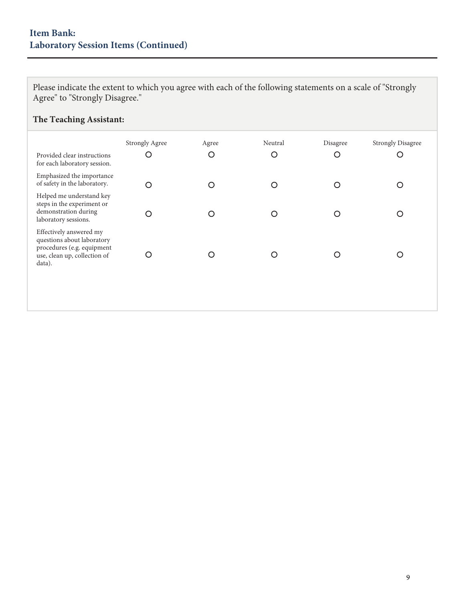## **Item Bank: Laboratory Session Items (Continued)**

Please indicate the extent to which you agree with each of the following statements on a scale of "Strongly Agree" to "Strongly Disagree."

### **The Teaching Assistant:**

| Provided clear instructions<br>for each laboratory session.                                                                   | <b>Strongly Agree</b><br>O | Agree<br>С | Neutral<br>O | Disagree<br>O | <b>Strongly Disagree</b><br>Ċ |
|-------------------------------------------------------------------------------------------------------------------------------|----------------------------|------------|--------------|---------------|-------------------------------|
| Emphasized the importance<br>of safety in the laboratory.                                                                     | ∩                          |            | ∩            | Ω             |                               |
| Helped me understand key<br>steps in the experiment or<br>demonstration during<br>laboratory sessions.                        | O                          |            | ∩            | ∩             |                               |
| Effectively answered my<br>questions about laboratory<br>procedures (e.g. equipment<br>use, clean up, collection of<br>data). |                            |            |              | С             |                               |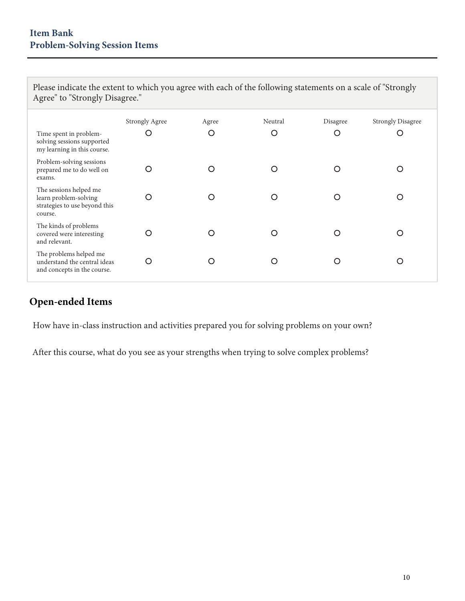Please indicate the extent to which you agree with each of the following statements on a scale of "Strongly Agree" to "Strongly Disagree."

| Time spent in problem-<br>solving sessions supported<br>my learning in this course.         | <b>Strongly Agree</b><br>O | Agree<br>O | Neutral<br>O | Disagree<br>O | <b>Strongly Disagree</b><br>O |
|---------------------------------------------------------------------------------------------|----------------------------|------------|--------------|---------------|-------------------------------|
| Problem-solving sessions<br>prepared me to do well on<br>exams.                             |                            |            |              | ◯             |                               |
| The sessions helped me<br>learn problem-solving<br>strategies to use beyond this<br>course. | ∩                          | ∩          |              | ∩             |                               |
| The kinds of problems<br>covered were interesting<br>and relevant.                          |                            |            |              |               |                               |
| The problems helped me<br>understand the central ideas<br>and concepts in the course.       | ∩                          | ∩          | ◯            | ∩             |                               |

## **Open-ended Items**

How have in-class instruction and activities prepared you for solving problems on your own?

After this course, what do you see as your strengths when trying to solve complex problems?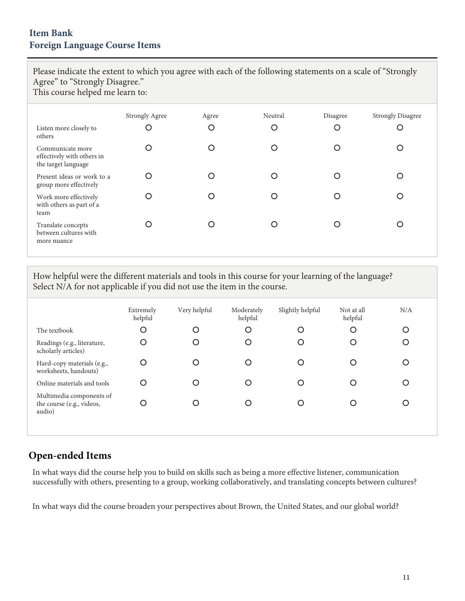### **Item Bank Foreign Language Course Items**

Please indicate the extent to which you agree with each of the following statements on a scale of "Strongly Agree" to "Strongly Disagree."

This course helped me learn to:

| Listen more closely to<br>others                                      | <b>Strongly Agree</b><br>O | Agree<br>O | Neutral<br>O | Disagree<br>O | <b>Strongly Disagree</b><br>O |
|-----------------------------------------------------------------------|----------------------------|------------|--------------|---------------|-------------------------------|
| Communicate more<br>effectively with others in<br>the target language | ◠                          | ∩          | O            | O             |                               |
| Present ideas or work to a<br>group more effectively                  | ◠                          |            | ∩            | ∩             |                               |
| Work more effectively<br>with others as part of a<br>team             | n                          |            | ∩            | O             |                               |
| Translate concepts<br>between cultures with<br>more nuance            |                            |            | ∩            | O             |                               |

How helpful were the different materials and tools in this course for your learning of the language? Select N/A for not applicable if you did not use the item in the course.

|                                                                 | Extremely<br>helpful | Very helpful | Moderately<br>helpful | Slightly helpful | Not at all<br>helpful | N/A |
|-----------------------------------------------------------------|----------------------|--------------|-----------------------|------------------|-----------------------|-----|
| The textbook                                                    | O                    | O            | O                     | O                | O                     | O   |
| Readings (e.g., literature,<br>scholarly articles)              | $\circ$              | O            | O                     | C                | O                     |     |
| Hard-copy materials (e.g.,<br>worksheets, handouts)             | O                    |              | Ω                     |                  |                       |     |
| Online materials and tools                                      | O                    | O            | O                     |                  | ∩                     |     |
| Multimedia components of<br>the course (e.g., videos,<br>audio) | O                    |              | O                     |                  |                       |     |
|                                                                 |                      |              |                       |                  |                       |     |

### **Open-ended Items**

In what ways did the course help you to build on skills such as being a more effective listener, communication successfully with others, presenting to a group, working collaboratively, and translating concepts between cultures?

In what ways did the course broaden your perspectives about Brown, the United States, and our global world?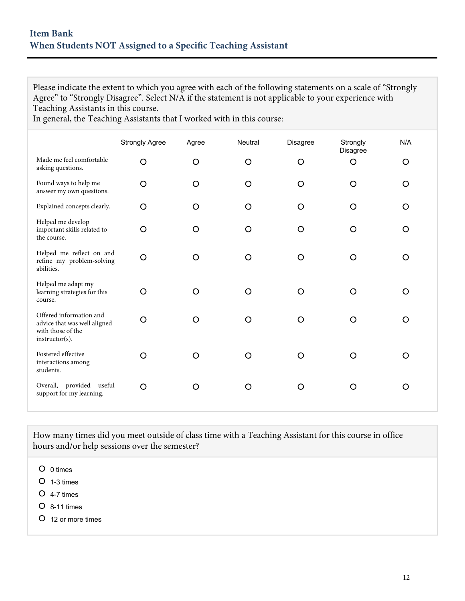Please indicate the extent to which you agree with each of the following statements on a scale of "Strongly Agree" to "Strongly Disagree". Select N/A if the statement is not applicable to your experience with Teaching Assistants in this course.

In general, the Teaching Assistants that I worked with in this course:

|                                                                                                | <b>Strongly Agree</b> | Agree   | Neutral | Disagree | Strongly<br>Disagree | N/A     |
|------------------------------------------------------------------------------------------------|-----------------------|---------|---------|----------|----------------------|---------|
| Made me feel comfortable<br>asking questions.                                                  | O                     | $\circ$ | O       | O        | $\circ$              | O       |
| Found ways to help me<br>answer my own questions.                                              | O                     | $\circ$ | O       | O        | O                    | $\circ$ |
| Explained concepts clearly.                                                                    | $\circ$               | O       | O       | O        | O                    | O       |
| Helped me develop<br>important skills related to<br>the course.                                | $\circ$               | O       | O       | O        | O                    | O       |
| Helped me reflect on and<br>refine my problem-solving<br>abilities.                            | $\circ$               | O       | O       | O        | O                    | O       |
| Helped me adapt my<br>learning strategies for this<br>course.                                  | O                     | O       | O       | O        | O                    | O       |
| Offered information and<br>advice that was well aligned<br>with those of the<br>instructor(s). | $\circ$               | O       | O       | O        | O                    | O       |
| Fostered effective<br>interactions among<br>students.                                          | O                     | $\circ$ | O       | O        | O                    | O       |
| Overall, provided useful<br>support for my learning.                                           | $\circ$               | O       | O       | O        | O                    | O       |

How many times did you meet outside of class time with a Teaching Assistant for this course in office hours and/or help sessions over the semester?

- O 0 times
- $O$  1-3 times
- 4-7 times
- 8-11 times
- 12 or more times